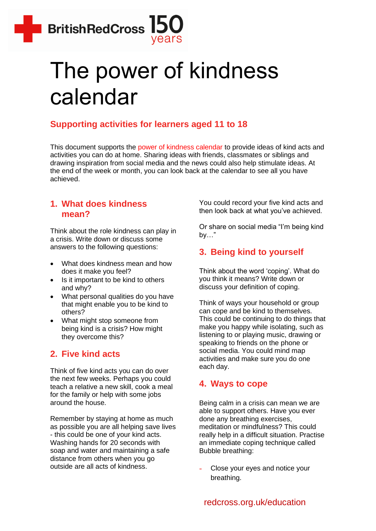

# The power of kindness calendar

# **Supporting activities for learners aged 11 to 18**

This document supports the [power of kindness calendar](https://www.redcross.org.uk/get-involved/teaching-resources/kindness-calendar) to provide ideas of kind acts and activities you can do at home. Sharing ideas with friends, classmates or siblings and drawing inspiration from social media and the news could also help stimulate ideas. At the end of the week or month, you can look back at the calendar to see all you have achieved.

#### **1. What does kindness mean?**

Think about the role kindness can play in a crisis. Write down or discuss some answers to the following questions:

- What does kindness mean and how does it make you feel?
- Is it important to be kind to others and why?
- What personal qualities do you have that might enable you to be kind to others?
- What might stop someone from being kind is a crisis? How might they overcome this?

## **2. Five kind acts**

Think of five kind acts you can do over the next few weeks. Perhaps you could teach a relative a new skill, cook a meal for the family or help with some jobs around the house.

Remember by staying at home as much as possible you are all helping save lives - this could be one of your kind acts. Washing hands for 20 seconds with soap and water and maintaining a safe distance from others when you go outside are all acts of kindness.

You could record your five kind acts and then look back at what you've achieved.

Or share on social media "I'm being kind by…"

# **3. Being kind to yourself**

Think about the word 'coping'. What do you think it means? Write down or discuss your definition of coping.

Think of ways your household or group can cope and be kind to themselves. This could be continuing to do things that make you happy while isolating, such as listening to or playing music, drawing or speaking to friends on the phone or social media. You could mind map activities and make sure you do one each day.

## **4. Ways to cope**

Being calm in a crisis can mean we are able to support others. Have you ever done any breathing exercises, meditation or mindfulness? This could really help in a difficult situation. Practise an immediate coping technique called Bubble breathing:

Close your eyes and notice your breathing.